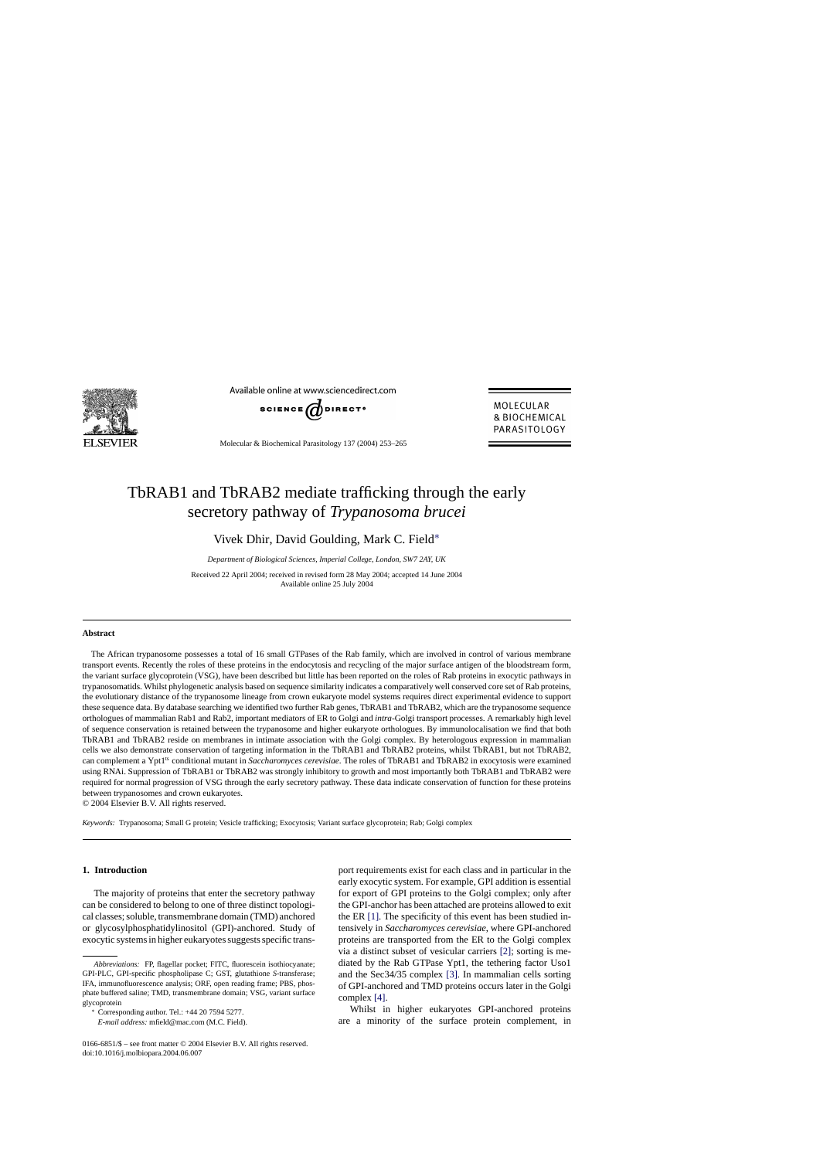

Available online at www.sciencedirect.com



Molecular & Biochemical Parasitology 137 (2004) 253–265

MOLECULAR **& BIOCHEMICAL** PARASITOLOGY

# TbRAB1 and TbRAB2 mediate trafficking through the early secretory pathway of *Trypanosoma brucei*

Vivek Dhir, David Goulding, Mark C. Field∗

*Department of Biological Sciences, Imperial College, London, SW7 2AY, UK*

Received 22 April 2004; received in revised form 28 May 2004; accepted 14 June 2004 Available online 25 July 2004

## **Abstract**

The African trypanosome possesses a total of 16 small GTPases of the Rab family, which are involved in control of various membrane transport events. Recently the roles of these proteins in the endocytosis and recycling of the major surface antigen of the bloodstream form, the variant surface glycoprotein (VSG), have been described but little has been reported on the roles of Rab proteins in exocytic pathways in trypanosomatids. Whilst phylogenetic analysis based on sequence similarity indicates a comparatively well conserved core set of Rab proteins, the evolutionary distance of the trypanosome lineage from crown eukaryote model systems requires direct experimental evidence to support these sequence data. By database searching we identified two further Rab genes, TbRAB1 and TbRAB2, which are the trypanosome sequence orthologues of mammalian Rab1 and Rab2, important mediators of ER to Golgi and *intra*-Golgi transport processes. A remarkably high level of sequence conservation is retained between the trypanosome and higher eukaryote orthologues. By immunolocalisation we find that both TbRAB1 and TbRAB2 reside on membranes in intimate association with the Golgi complex. By heterologous expression in mammalian cells we also demonstrate conservation of targeting information in the TbRAB1 and TbRAB2 proteins, whilst TbRAB1, but not TbRAB2, can complement a Ypt1<sup>ts</sup> conditional mutant in *Saccharomyces cerevisiae*. The roles of TbRAB1 and TbRAB2 in exocytosis were examined using RNAi. Suppression of TbRAB1 or TbRAB2 was strongly inhibitory to growth and most importantly both TbRAB1 and TbRAB2 were required for normal progression of VSG through the early secretory pathway. These data indicate conservation of function for these proteins between trypanosomes and crown eukaryotes.

© 2004 Elsevier B.V. All rights reserved.

*Keywords:* Trypanosoma; Small G protein; Vesicle trafficking; Exocytosis; Variant surface glycoprotein; Rab; Golgi complex

## **1. Introduction**

The majority of proteins that enter the secretory pathway can be considered to belong to one of three distinct topological classes; soluble, transmembrane domain (TMD) anchored or glycosylphosphatidylinositol (GPI)-anchored. Study of exocytic systems in higher eukaryotes suggests specific transport requirements exist for each class and in particular in the early exocytic system. For example, GPI addition is essential for export of GPI proteins to the Golgi complex; only after the GPI-anchor has been attached are proteins allowed to exit the ER [\[1\].](#page-11-0) The specificity of this event has been studied intensively in *Saccharomyces cerevisiae*, where GPI-anchored proteins are transported from the ER to the Golgi complex via a distinct subset of vesicular carriers [\[2\];](#page-11-0) sorting is mediated by the Rab GTPase Ypt1, the tethering factor Uso1 and the Sec34/35 complex [\[3\].](#page-11-0) In mammalian cells sorting of GPI-anchored and TMD proteins occurs later in the Golgi complex [\[4\].](#page-11-0)

Whilst in higher eukaryotes GPI-anchored proteins are a minority of the surface protein complement, in

*Abbreviations:* FP, flagellar pocket; FITC, fluorescein isothiocyanate; GPI-PLC, GPI-specific phospholipase C; GST, glutathione *S*-transferase; IFA, immunofluorescence analysis; ORF, open reading frame; PBS, phosphate buffered saline; TMD, transmembrane domain; VSG, variant surface glycoprotein

<sup>∗</sup> Corresponding author. Tel.: +44 20 7594 5277.

*E-mail address:* mfield@mac.com (M.C. Field).

<sup>0166-6851/\$ –</sup> see front matter © 2004 Elsevier B.V. All rights reserved. doi:10.1016/j.molbiopara.2004.06.007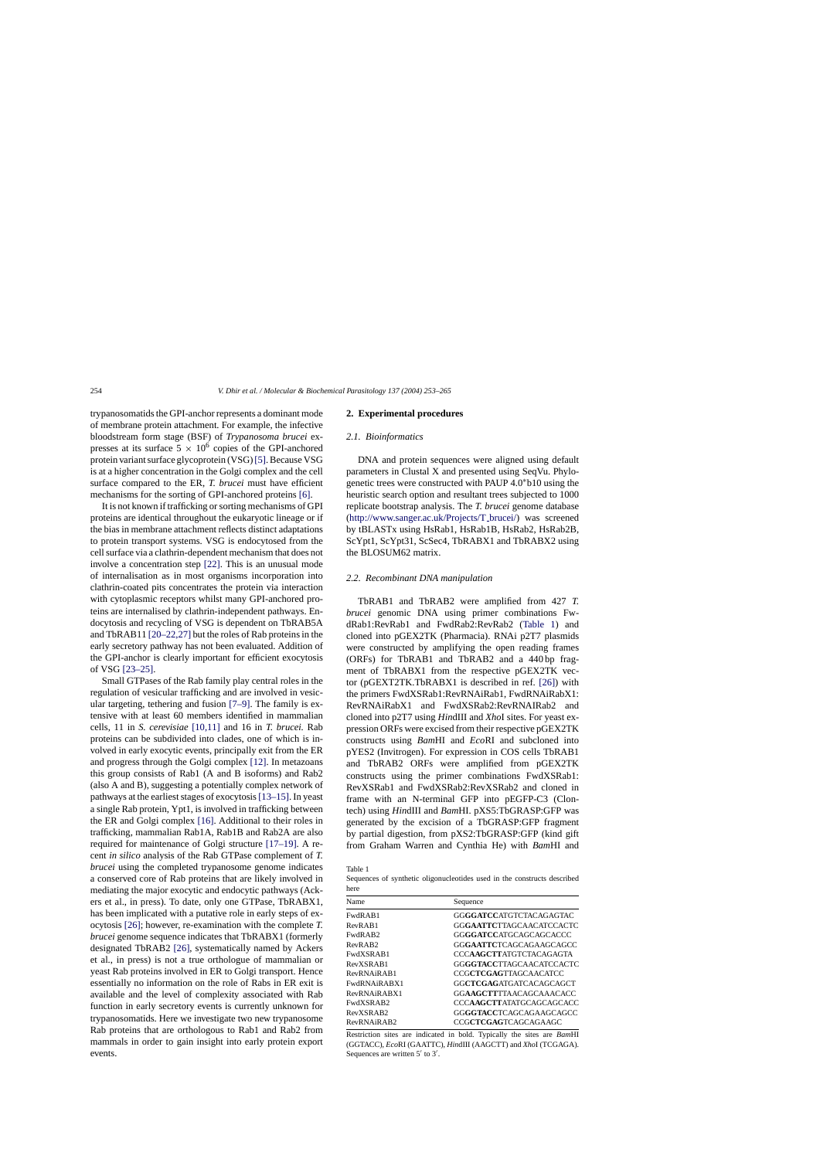trypanosomatids the GPI-anchor represents a dominant mode of membrane protein attachment. For example, the infective bloodstream form stage (BSF) of *Trypanosoma brucei* expresses at its surface  $5 \times 10^6$  copies of the GPI-anchored protein variant surface glycoprotein (VSG)[\[5\]. B](#page-11-0)ecause VSG is at a higher concentration in the Golgi complex and the cell surface compared to the ER, *T. brucei* must have efficient mechanisms for the sorting of GPI-anchored proteins [\[6\].](#page-11-0)

It is not known if trafficking or sorting mechanisms of GPI proteins are identical throughout the eukaryotic lineage or if the bias in membrane attachment reflects distinct adaptations to protein transport systems. VSG is endocytosed from the cell surface via a clathrin-dependent mechanism that does not involve a concentration step [\[22\].](#page-12-0) This is an unusual mode of internalisation as in most organisms incorporation into clathrin-coated pits concentrates the protein via interaction with cytoplasmic receptors whilst many GPI-anchored proteins are internalised by clathrin-independent pathways. Endocytosis and recycling of VSG is dependent on TbRAB5A and TbRAB11 [\[20–22,27\]](#page-11-0) but the roles of Rab proteins in the early secretory pathway has not been evaluated. Addition of the GPI-anchor is clearly important for efficient exocytosis of VSG [\[23–25\].](#page-12-0)

Small GTPases of the Rab family play central roles in the regulation of vesicular trafficking and are involved in vesicular targeting, tethering and fusion [\[7–9\].](#page-11-0) The family is extensive with at least 60 members identified in mammalian cells, 11 in *S. cerevisiae* [\[10,11\]](#page-11-0) and 16 in *T. brucei.* Rab proteins can be subdivided into clades, one of which is involved in early exocytic events, principally exit from the ER and progress through the Golgi complex [\[12\]. I](#page-11-0)n metazoans this group consists of Rab1 (A and B isoforms) and Rab2 (also A and B), suggesting a potentially complex network of pathways at the earliest stages of exocytosis[\[13–15\]. I](#page-11-0)n yeast a single Rab protein, Ypt1, is involved in trafficking between the ER and Golgi complex [\[16\]. A](#page-11-0)dditional to their roles in trafficking, mammalian Rab1A, Rab1B and Rab2A are also required for maintenance of Golgi structure [\[17–19\].](#page-11-0) A recent *in silico* analysis of the Rab GTPase complement of *T. brucei* using the completed trypanosome genome indicates a conserved core of Rab proteins that are likely involved in mediating the major exocytic and endocytic pathways (Ackers et al., in press). To date, only one GTPase, TbRABX1, has been implicated with a putative role in early steps of exocytosis [\[26\];](#page-12-0) however, re-examination with the complete *T. brucei* genome sequence indicates that TbRABX1 (formerly designated TbRAB2 [\[26\],](#page-12-0) systematically named by Ackers et al., in press) is not a true orthologue of mammalian or yeast Rab proteins involved in ER to Golgi transport. Hence essentially no information on the role of Rabs in ER exit is available and the level of complexity associated with Rab function in early secretory events is currently unknown for trypanosomatids. Here we investigate two new trypanosome Rab proteins that are orthologous to Rab1 and Rab2 from mammals in order to gain insight into early protein export events.

#### **2. Experimental procedures**

#### *2.1. Bioinformatics*

DNA and protein sequences were aligned using default parameters in Clustal X and presented using SeqVu. Phylogenetic trees were constructed with PAUP 4.0∗b10 using the heuristic search option and resultant trees subjected to 1000 replicate bootstrap analysis. The *T. brucei* genome database [\(http://www.sanger.ac.uk/Projects/T](http://www.sanger.ac.uk/projects/t_brucei/) brucei/) was screened by tBLASTx using HsRab1, HsRab1B, HsRab2, HsRab2B, ScYpt1, ScYpt31, ScSec4, TbRABX1 and TbRABX2 using the BLOSUM62 matrix.

#### *2.2. Recombinant DNA manipulation*

TbRAB1 and TbRAB2 were amplified from 427 *T. brucei* genomic DNA using primer combinations FwdRab1:RevRab1 and FwdRab2:RevRab2 (Table 1) and cloned into pGEX2TK (Pharmacia). RNAi p2T7 plasmids were constructed by amplifying the open reading frames (ORFs) for TbRAB1 and TbRAB2 and a 440 bp fragment of TbRABX1 from the respective pGEX2TK vector (pGEXT2TK.TbRABX1 is described in ref. [\[26\]\)](#page-12-0) with the primers FwdXSRab1:RevRNAiRab1, FwdRNAiRabX1: RevRNAiRabX1 and FwdXSRab2:RevRNAIRab2 and cloned into p2T7 using *Hin*dIII and *Xho*I sites. For yeast expression ORFs were excised from their respective pGEX2TK constructs using *Bam*HI and *Eco*RI and subcloned into pYES2 (Invitrogen). For expression in COS cells TbRAB1 and TbRAB2 ORFs were amplified from pGEX2TK constructs using the primer combinations FwdXSRab1: RevXSRab1 and FwdXSRab2:RevXSRab2 and cloned in frame with an N-terminal GFP into pEGFP-C3 (Clontech) using *Hin*dIII and *Bam*HI. pXS5:TbGRASP:GFP was generated by the excision of a TbGRASP:GFP fragment by partial digestion, from pXS2:TbGRASP:GFP (kind gift from Graham Warren and Cynthia He) with *Bam*HI and

Sequences of synthetic oligonucleotides used in the constructs described here

| Name                | Sequence                          |
|---------------------|-----------------------------------|
| FwdRAB1             | GGGGATCCATGTCTACAGAGTAC           |
| RevRAB1             | GGGAATTCTTAGCAACATCCACTC          |
| FwdRAB2             | GGGGATCCATGCAGCAGCACCC            |
| RevRAB <sub>2</sub> | GGGAATTCTCAGCAGAAGCAGCC           |
| FwdXSRAB1           | CCCAAGCTTATGTCTACAGAGTA           |
| RevXSRAB1           | GGGGTACCTTAGCAACATCCACTC          |
| RevRNAiRAB1         | <b>CCGCTCGAGTTAGCAACATCC</b>      |
| FwdRNAiRARX1        | GGCTCGAGATGATCACAGCAGCT           |
| RevRNAiRARX1        | <b>GGAAGCTTTTAACAGCAAACACC</b>    |
| FwdXSRAB2           | CCC <b>AAGCTT</b> ATATGCAGCAGCACC |
| RevXSRAB2           | GGGGTACCTCAGCAGAAGCAGCC           |
| RevRNAiRAB2         | CCGCTCGAGTCAGCAGAAGC              |
|                     |                                   |

Restriction sites are indicated in bold. Typically the sites are *Bam*HI (GGTACC), *Eco*RI (GAATTC), *Hin*dIII (AAGCTT) and *Xho*I (TCGAGA). Sequences are written  $5'$  to  $3'$ .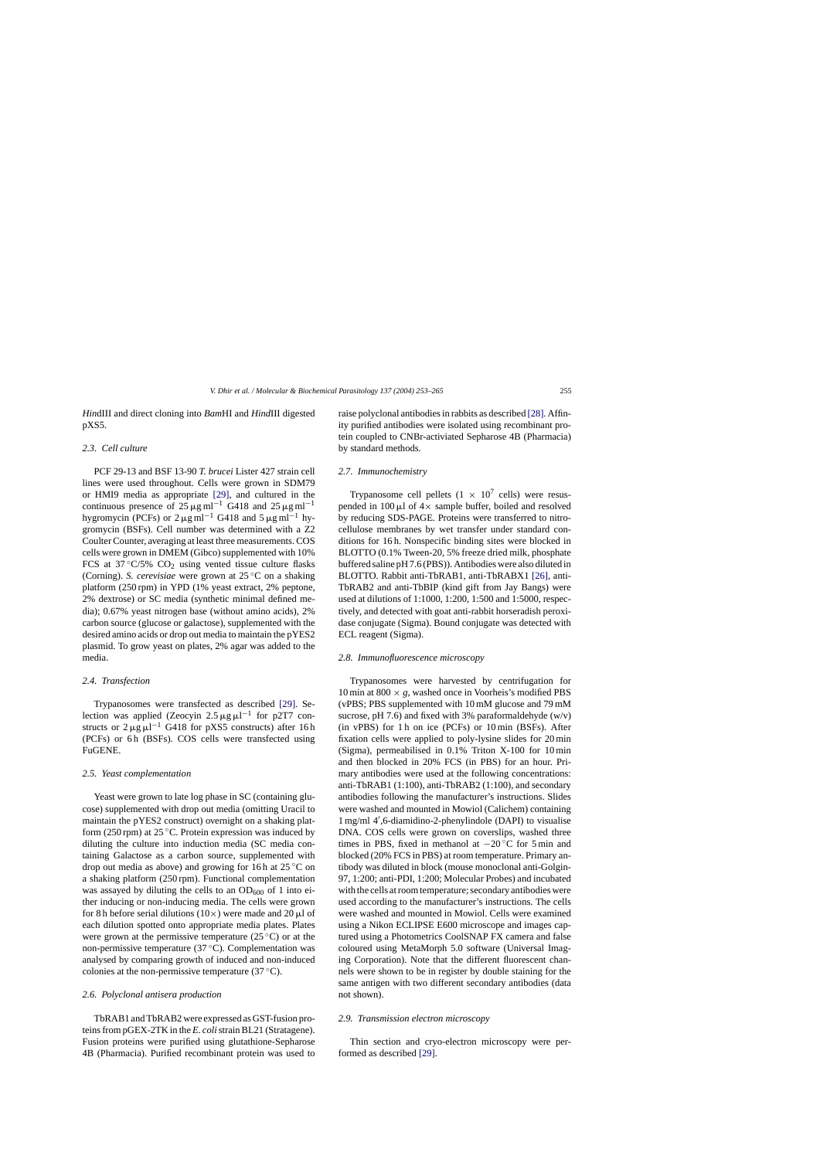*Hin*dIII and direct cloning into *Bam*HI and *Hind*III digested pXS5.

# *2.3. Cell culture*

PCF 29-13 and BSF 13-90 *T. brucei* Lister 427 strain cell lines were used throughout. Cells were grown in SDM79 or HMI9 media as appropriate [\[29\],](#page-12-0) and cultured in the continuous presence of 25  $\mu$ g ml<sup>-1</sup> G418 and 25  $\mu$ g ml<sup>-1</sup> hygromycin (PCFs) or  $2 \mu g$  ml<sup>−1</sup> G418 and  $5 \mu g$  ml<sup>−1</sup> hygromycin (BSFs). Cell number was determined with a Z2 Coulter Counter, averaging at least three measurements. COS cells were grown in DMEM (Gibco) supplemented with 10% FCS at  $37^{\circ}$ C/5% CO<sub>2</sub> using vented tissue culture flasks (Corning). *S. cerevisiae* were grown at 25 ◦C on a shaking platform (250 rpm) in YPD (1% yeast extract, 2% peptone, 2% dextrose) or SC media (synthetic minimal defined media); 0.67% yeast nitrogen base (without amino acids), 2% carbon source (glucose or galactose), supplemented with the desired amino acids or drop out media to maintain the pYES2 plasmid. To grow yeast on plates, 2% agar was added to the media.

# *2.4. Transfection*

Trypanosomes were transfected as described [\[29\].](#page-12-0) Selection was applied (Zeocyin 2.5  $\mu$ g $\mu$ l<sup>-1</sup> for p2T7 constructs or  $2 \mu g \mu l^{-1}$  G418 for pXS5 constructs) after 16 h (PCFs) or 6h (BSFs). COS cells were transfected using FuGENE.

## *2.5. Yeast complementation*

Yeast were grown to late log phase in SC (containing glucose) supplemented with drop out media (omitting Uracil to maintain the pYES2 construct) overnight on a shaking platform (250 rpm) at 25 °C. Protein expression was induced by diluting the culture into induction media (SC media containing Galactose as a carbon source, supplemented with drop out media as above) and growing for 16 h at 25 ◦C on a shaking platform (250 rpm). Functional complementation was assayed by diluting the cells to an  $OD_{600}$  of 1 into either inducing or non-inducing media. The cells were grown for 8 h before serial dilutions (10 $\times$ ) were made and 20  $\mu$ l of each dilution spotted onto appropriate media plates. Plates were grown at the permissive temperature ( $25^{\circ}$ C) or at the non-permissive temperature  $(37 \degree C)$ . Complementation was analysed by comparing growth of induced and non-induced colonies at the non-permissive temperature (37 ◦C).

## *2.6. Polyclonal antisera production*

TbRAB1 and TbRAB2 were expressed as GST-fusion proteins from pGEX-2TK in the *E. coli*strain BL21 (Stratagene). Fusion proteins were purified using glutathione-Sepharose 4B (Pharmacia). Purified recombinant protein was used to

raise polyclonal antibodies in rabbits as described [\[28\]. A](#page-12-0)ffinity purified antibodies were isolated using recombinant protein coupled to CNBr-activiated Sepharose 4B (Pharmacia) by standard methods.

## *2.7. Immunochemistry*

Trypanosome cell pellets  $(1 \times 10^7 \text{ cells})$  were resuspended in 100  $\mu$ l of  $4\times$  sample buffer, boiled and resolved by reducing SDS-PAGE. Proteins were transferred to nitrocellulose membranes by wet transfer under standard conditions for 16 h. Nonspecific binding sites were blocked in BLOTTO (0.1% Tween-20, 5% freeze dried milk, phosphate buffered saline pH 7.6 (PBS)). Antibodies were also diluted in BLOTTO. Rabbit anti-TbRAB1, anti-TbRABX1 [\[26\],](#page-12-0) anti-TbRAB2 and anti-TbBIP (kind gift from Jay Bangs) were used at dilutions of 1:1000, 1:200, 1:500 and 1:5000, respectively, and detected with goat anti-rabbit horseradish peroxidase conjugate (Sigma). Bound conjugate was detected with ECL reagent (Sigma).

## *2.8. Immunofluorescence microscopy*

Trypanosomes were harvested by centrifugation for 10 min at 800  $\times$  *g*, washed once in Voorheis's modified PBS (vPBS; PBS supplemented with 10 mM glucose and 79 mM sucrose, pH 7.6) and fixed with 3% paraformaldehyde (w/v)  $(in$  vPBS) for 1 $h$  on ice (PCFs) or 10 $min$  (BSFs). After fixation cells were applied to poly-lysine slides for 20 min (Sigma), permeabilised in 0.1% Triton X-100 for 10 min and then blocked in 20% FCS (in PBS) for an hour. Primary antibodies were used at the following concentrations: anti-TbRAB1 (1:100), anti-TbRAB2 (1:100), and secondary antibodies following the manufacturer's instructions. Slides were washed and mounted in Mowiol (Calichem) containing 1 mg/ml 4 ,6-diamidino-2-phenylindole (DAPI) to visualise DNA. COS cells were grown on coverslips, washed three times in PBS, fixed in methanol at  $-20$  °C for 5 min and blocked (20% FCS in PBS) at room temperature. Primary antibody was diluted in block (mouse monoclonal anti-Golgin-97, 1:200; anti-PDI, 1:200; Molecular Probes) and incubated with the cells at room temperature; secondary antibodies were used according to the manufacturer's instructions. The cells were washed and mounted in Mowiol. Cells were examined using a Nikon ECLIPSE E600 microscope and images captured using a Photometrics CoolSNAP FX camera and false coloured using MetaMorph 5.0 software (Universal Imaging Corporation). Note that the different fluorescent channels were shown to be in register by double staining for the same antigen with two different secondary antibodies (data not shown).

#### *2.9. Transmission electron microscopy*

Thin section and cryo-electron microscopy were performed as described [\[29\].](#page-12-0)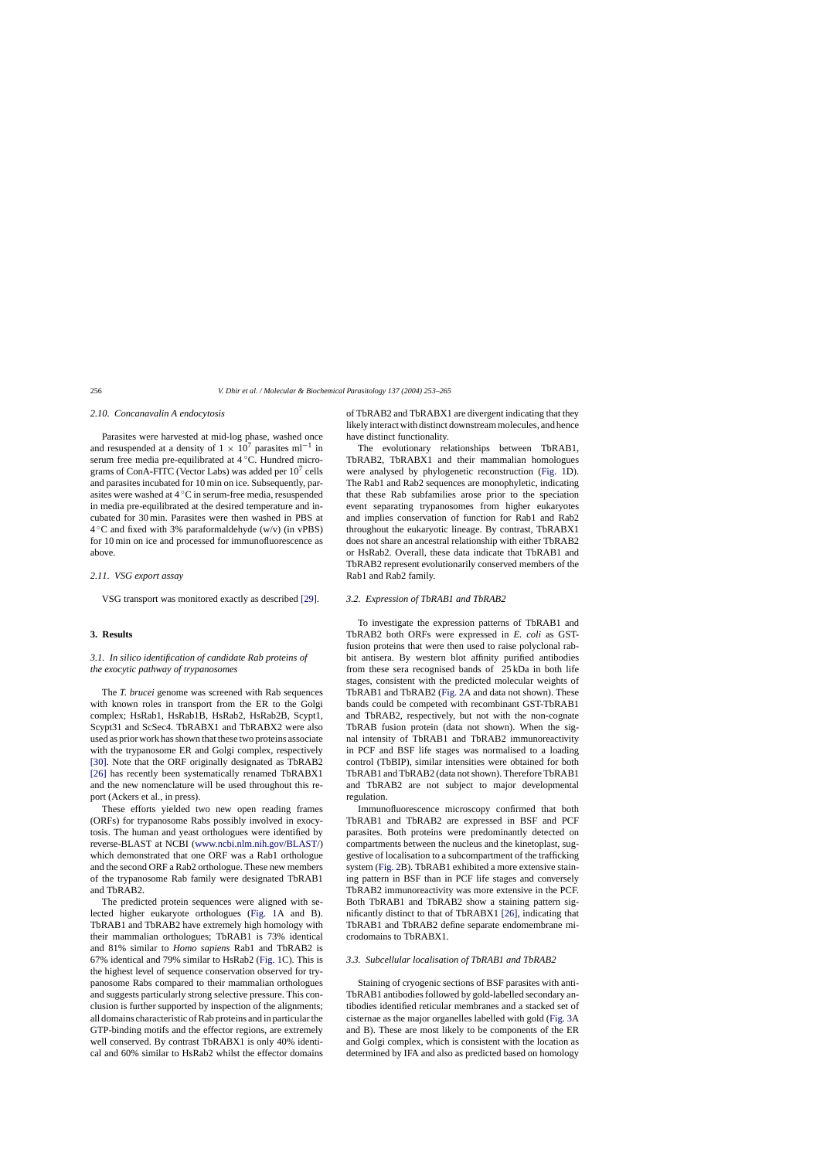## *2.10. Concanavalin A endocytosis*

Parasites were harvested at mid-log phase, washed once and resuspended at a density of  $1 \times 10^7$  parasites ml<sup>-1</sup> in serum free media pre-equilibrated at 4 °C. Hundred micrograms of ConA-FITC (Vector Labs) was added per  $10^7$  cells and parasites incubated for 10 min on ice. Subsequently, parasites were washed at 4 ◦C in serum-free media, resuspended in media pre-equilibrated at the desired temperature and incubated for 30 min. Parasites were then washed in PBS at  $4^{\circ}$ C and fixed with 3% paraformaldehyde (w/v) (in vPBS) for 10 min on ice and processed for immunofluorescence as above.

# *2.11. VSG export assay*

VSG transport was monitored exactly as described [\[29\].](#page-12-0)

## **3. Results**

# *3.1. In silico identification of candidate Rab proteins of the exocytic pathway of trypanosomes*

The *T. brucei* genome was screened with Rab sequences with known roles in transport from the ER to the Golgi complex; HsRab1, HsRab1B, HsRab2, HsRab2B, Scypt1, Scypt31 and ScSec4. TbRABX1 and TbRABX2 were also used as prior work has shown that these two proteins associate with the trypanosome ER and Golgi complex, respectively [\[30\].](#page-12-0) Note that the ORF originally designated as TbRAB2 [\[26\]](#page-12-0) has recently been systematically renamed TbRABX1 and the new nomenclature will be used throughout this report (Ackers et al., in press).

These efforts yielded two new open reading frames (ORFs) for trypanosome Rabs possibly involved in exocytosis. The human and yeast orthologues were identified by reverse-BLAST at NCBI [\(www.ncbi.nlm.nih.gov/BLAST/\)](http://www.ncbi.nlm.nih.gov/blast/) which demonstrated that one ORF was a Rab1 orthologue and the second ORF a Rab2 orthologue. These new members of the trypanosome Rab family were designated TbRAB1 and TbRAB2.

The predicted protein sequences were aligned with selected higher eukaryote orthologues ([Fig. 1A](#page-4-0) and B). TbRAB1 and TbRAB2 have extremely high homology with their mammalian orthologues; TbRAB1 is 73% identical and 81% similar to *Homo sapiens* Rab1 and TbRAB2 is 67% identical and 79% similar to HsRab2 ([Fig. 1C](#page-4-0)). This is the highest level of sequence conservation observed for trypanosome Rabs compared to their mammalian orthologues and suggests particularly strong selective pressure. This conclusion is further supported by inspection of the alignments; all domains characteristic of Rab proteins and in particular the GTP-binding motifs and the effector regions, are extremely well conserved. By contrast TbRABX1 is only 40% identical and 60% similar to HsRab2 whilst the effector domains of TbRAB2 and TbRABX1 are divergent indicating that they likely interact with distinct downstream molecules, and hence have distinct functionality.

The evolutionary relationships between TbRAB1, TbRAB2, TbRABX1 and their mammalian homologues were analysed by phylogenetic reconstruction [\(Fig. 1D](#page-4-0)). The Rab1 and Rab2 sequences are monophyletic, indicating that these Rab subfamilies arose prior to the speciation event separating trypanosomes from higher eukaryotes and implies conservation of function for Rab1 and Rab2 throughout the eukaryotic lineage. By contrast, TbRABX1 does not share an ancestral relationship with either TbRAB2 or HsRab2. Overall, these data indicate that TbRAB1 and TbRAB2 represent evolutionarily conserved members of the Rab1 and Rab2 family.

#### *3.2. Expression of TbRAB1 and TbRAB2*

To investigate the expression patterns of TbRAB1 and TbRAB2 both ORFs were expressed in *E. coli* as GSTfusion proteins that were then used to raise polyclonal rabbit antisera. By western blot affinity purified antibodies from these sera recognised bands of 25 kDa in both life stages, consistent with the predicted molecular weights of TbRAB1 and TbRAB2 ([Fig. 2A](#page-5-0) and data not shown). These bands could be competed with recombinant GST-TbRAB1 and TbRAB2, respectively, but not with the non-cognate TbRAB fusion protein (data not shown). When the signal intensity of TbRAB1 and TbRAB2 immunoreactivity in PCF and BSF life stages was normalised to a loading control (TbBIP), similar intensities were obtained for both TbRAB1 and TbRAB2 (data not shown). Therefore TbRAB1 and TbRAB2 are not subject to major developmental regulation.

Immunofluorescence microscopy confirmed that both TbRAB1 and TbRAB2 are expressed in BSF and PCF parasites. Both proteins were predominantly detected on compartments between the nucleus and the kinetoplast, suggestive of localisation to a subcompartment of the trafficking system ([Fig. 2B](#page-5-0)). TbRAB1 exhibited a more extensive staining pattern in BSF than in PCF life stages and conversely TbRAB2 immunoreactivity was more extensive in the PCF. Both TbRAB1 and TbRAB2 show a staining pattern significantly distinct to that of TbRABX1 [\[26\],](#page-12-0) indicating that TbRAB1 and TbRAB2 define separate endomembrane microdomains to TbRABX1.

#### *3.3. Subcellular localisation of TbRAB1 and TbRAB2*

Staining of cryogenic sections of BSF parasites with anti-TbRAB1 antibodies followed by gold-labelled secondary antibodies identified reticular membranes and a stacked set of cisternae as the major organelles labelled with gold ([Fig. 3A](#page-6-0) and B). These are most likely to be components of the ER and Golgi complex, which is consistent with the location as determined by IFA and also as predicted based on homology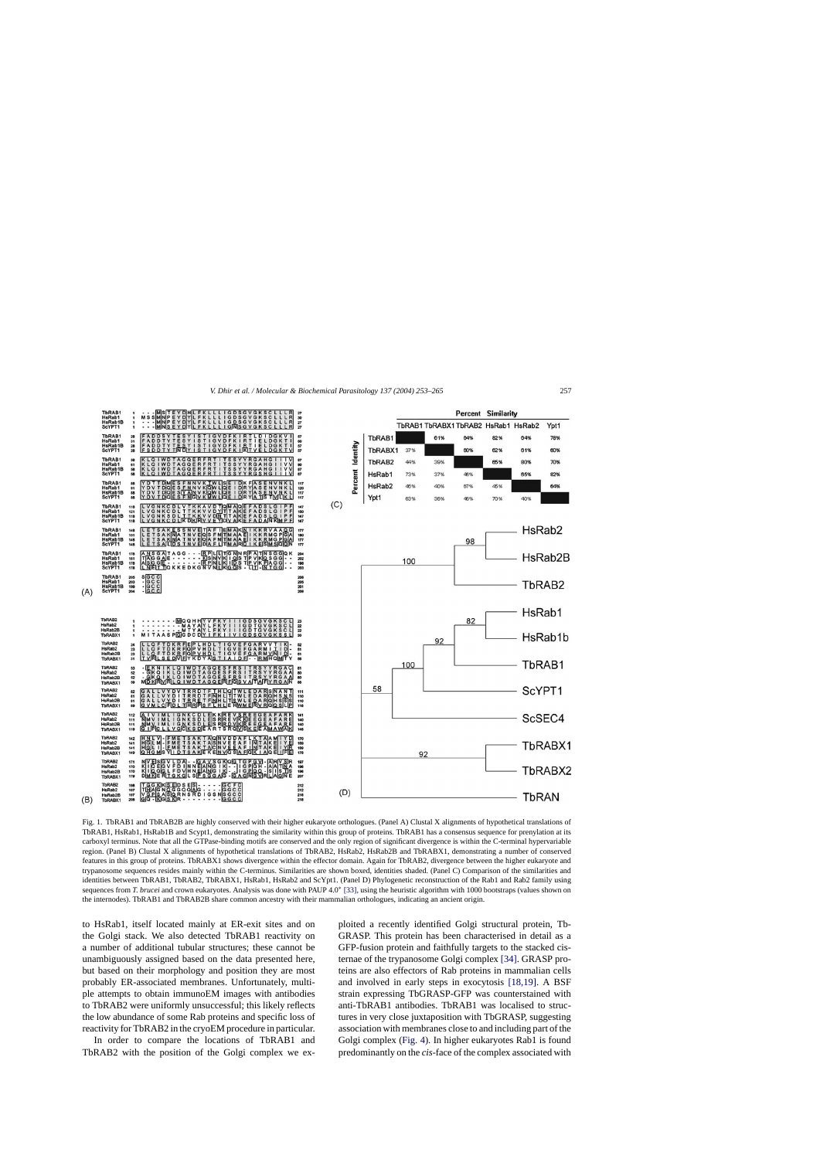<span id="page-4-0"></span>

Fig. 1. TbRAB1 and TbRAB2B are highly conserved with their higher eukaryote orthologues. (Panel A) Clustal X alignments of hypothetical translations of TbRAB1, HsRab1, HsRab1B and Scypt1, demonstrating the similarity within this group of proteins. TbRAB1 has a consensus sequence for prenylation at its carboxyl terminus. Note that all the GTPase-binding motifs are conserved and the only region of significant divergence is within the C-terminal hypervariable region. (Panel B) Clustal X alignments of hypothetical translations of TbRAB2, HsRab2, HsRab2B and TbRABX1, demonstrating a number of conserved features in this group of proteins. TbRABX1 shows divergence within the effector domain. Again for TbRAB2, divergence between the higher eukaryote and trypanosome sequences resides mainly within the C-terminus. Similarities are shown boxed, identities shaded. (Panel C) Comparison of the similarities and identities between TbRAB1, TbRAB2, TbRABX1, HsRab1, HsRab2 and ScYpt1. (Panel D) Phylogenetic reconstruction of the Rab1 and Rab2 family using sequences from *T. brucei* and crown eukaryotes. Analysis was done with PAUP 4.0<sup>∗</sup> [\[33\], u](#page-12-0)sing the heuristic algorithm with 1000 bootstraps (values shown on the internodes). TbRAB1 and TbRAB2B share common ancestry with their mammalian orthologues, indicating an ancient origin.

to HsRab1, itself located mainly at ER-exit sites and on the Golgi stack. We also detected TbRAB1 reactivity on a number of additional tubular structures; these cannot be unambiguously assigned based on the data presented here, but based on their morphology and position they are most probably ER-associated membranes. Unfortunately, multiple attempts to obtain immunoEM images with antibodies to TbRAB2 were uniformly unsuccessful; this likely reflects the low abundance of some Rab proteins and specific loss of reactivity for TbRAB2 in the cryoEM procedure in particular.

In order to compare the locations of TbRAB1 and TbRAB2 with the position of the Golgi complex we exploited a recently identified Golgi structural protein, Tb-GRASP. This protein has been characterised in detail as a GFP-fusion protein and faithfully targets to the stacked cisternae of the trypanosome Golgi complex [\[34\]. G](#page-12-0)RASP proteins are also effectors of Rab proteins in mammalian cells and involved in early steps in exocytosis [\[18,19\].](#page-11-0) A BSF strain expressing TbGRASP-GFP was counterstained with anti-TbRAB1 antibodies. TbRAB1 was localised to structures in very close juxtaposition with TbGRASP, suggesting association with membranes close to and including part of the Golgi complex [\(Fig. 4\).](#page-7-0) In higher eukaryotes Rab1 is found predominantly on the *cis*-face of the complex associated with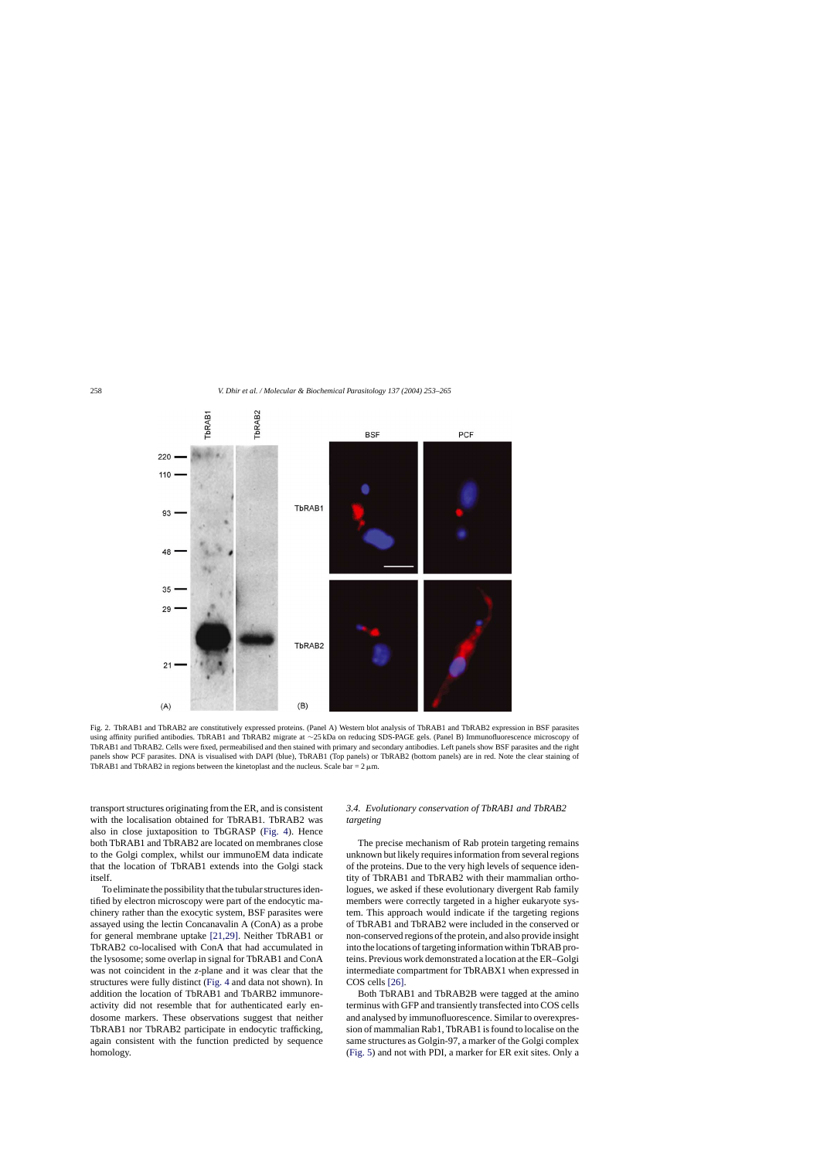<span id="page-5-0"></span>

Fig. 2. TbRAB1 and TbRAB2 are constitutively expressed proteins. (Panel A) Western blot analysis of TbRAB1 and TbRAB2 expression in BSF parasites using affinity purified antibodies. TbRAB1 and TbRAB2 migrate at ∼25 kDa on reducing SDS-PAGE gels. (Panel B) Immunofluorescence microscopy of TbRAB1 and TbRAB2. Cells were fixed, permeabilised and then stained with primary and secondary antibodies. Left panels show BSF parasites and the right panels show PCF parasites. DNA is visualised with DAPI (blue), TbRAB1 (Top panels) or TbRAB2 (bottom panels) are in red. Note the clear staining of TbRAB1 and TbRAB2 in regions between the kinetoplast and the nucleus. Scale bar =  $2 \mu$ m.

transport structures originating from the ER, and is consistent with the localisation obtained for TbRAB1. TbRAB2 was also in close juxtaposition to TbGRASP ([Fig. 4\)](#page-7-0). Hence both TbRAB1 and TbRAB2 are located on membranes close to the Golgi complex, whilst our immunoEM data indicate that the location of TbRAB1 extends into the Golgi stack itself.

To eliminate the possibility that the tubular structures identified by electron microscopy were part of the endocytic machinery rather than the exocytic system, BSF parasites were assayed using the lectin Concanavalin A (ConA) as a probe for general membrane uptake [\[21,29\].](#page-12-0) Neither TbRAB1 or TbRAB2 co-localised with ConA that had accumulated in the lysosome; some overlap in signal for TbRAB1 and ConA was not coincident in the *z*-plane and it was clear that the structures were fully distinct [\(Fig. 4](#page-7-0) and data not shown). In addition the location of TbRAB1 and TbARB2 immunoreactivity did not resemble that for authenticated early endosome markers. These observations suggest that neither TbRAB1 nor TbRAB2 participate in endocytic trafficking, again consistent with the function predicted by sequence homology.

# *3.4. Evolutionary conservation of TbRAB1 and TbRAB2 targeting*

The precise mechanism of Rab protein targeting remains unknown but likely requires information from several regions of the proteins. Due to the very high levels of sequence identity of TbRAB1 and TbRAB2 with their mammalian orthologues, we asked if these evolutionary divergent Rab family members were correctly targeted in a higher eukaryote system. This approach would indicate if the targeting regions of TbRAB1 and TbRAB2 were included in the conserved or non-conserved regions of the protein, and also provide insight into the locations of targeting information within TbRAB proteins. Previous work demonstrated a location at the ER–Golgi intermediate compartment for TbRABX1 when expressed in COS cells [\[26\].](#page-12-0)

Both TbRAB1 and TbRAB2B were tagged at the amino terminus with GFP and transiently transfected into COS cells and analysed by immunofluorescence. Similar to overexpression of mammalian Rab1, TbRAB1 is found to localise on the same structures as Golgin-97, a marker of the Golgi complex [\(Fig. 5\)](#page-8-0) and not with PDI, a marker for ER exit sites. Only a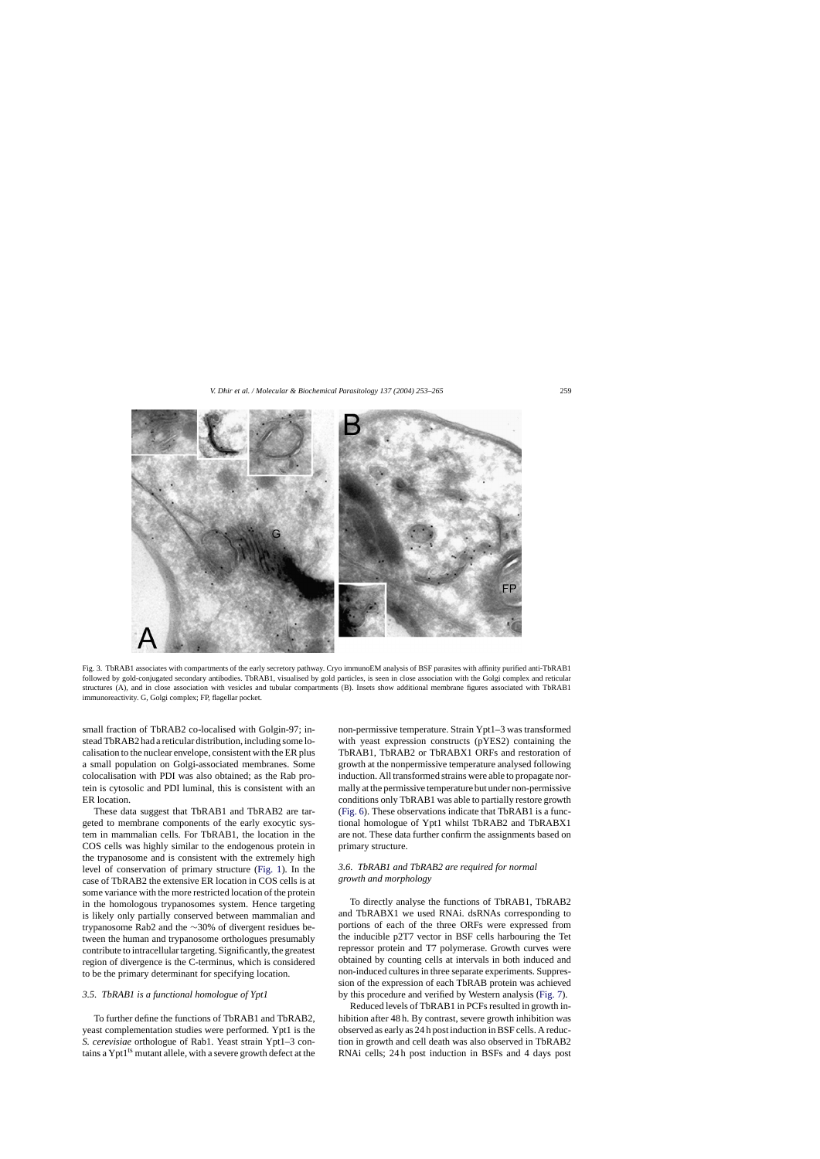<span id="page-6-0"></span>

Fig. 3. TbRAB1 associates with compartments of the early secretory pathway. Cryo immunoEM analysis of BSF parasites with affinity purified anti-TbRAB1 followed by gold-conjugated secondary antibodies. TbRAB1, visualised by gold particles, is seen in close association with the Golgi complex and reticular structures (A), and in close association with vesicles and tubular compartments (B). Insets show additional membrane figures associated with TbRAB1 immunoreactivity. G, Golgi complex; FP, flagellar pocket.

small fraction of TbRAB2 co-localised with Golgin-97; instead TbRAB2 had a reticular distribution, including some localisation to the nuclear envelope, consistent with the ER plus a small population on Golgi-associated membranes. Some colocalisation with PDI was also obtained; as the Rab protein is cytosolic and PDI luminal, this is consistent with an ER location.

These data suggest that TbRAB1 and TbRAB2 are targeted to membrane components of the early exocytic system in mammalian cells. For TbRAB1, the location in the COS cells was highly similar to the endogenous protein in the trypanosome and is consistent with the extremely high level of conservation of primary structure ([Fig. 1\).](#page-4-0) In the case of TbRAB2 the extensive ER location in COS cells is at some variance with the more restricted location of the protein in the homologous trypanosomes system. Hence targeting is likely only partially conserved between mammalian and trypanosome Rab2 and the ∼30% of divergent residues between the human and trypanosome orthologues presumably contribute to intracellular targeting. Significantly, the greatest region of divergence is the C-terminus, which is considered to be the primary determinant for specifying location.

# *3.5. TbRAB1 is a functional homologue of Ypt1*

To further define the functions of TbRAB1 and TbRAB2, yeast complementation studies were performed. Ypt1 is the *S. cerevisiae* orthologue of Rab1. Yeast strain Ypt1–3 contains a Ypt1<sup>ts</sup> mutant allele, with a severe growth defect at the

non-permissive temperature. Strain Ypt1–3 was transformed with yeast expression constructs (pYES2) containing the TbRAB1, TbRAB2 or TbRABX1 ORFs and restoration of growth at the nonpermissive temperature analysed following induction. All transformed strains were able to propagate normally at the permissive temperature but under non-permissive conditions only TbRAB1 was able to partially restore growth ([Fig. 6\).](#page-9-0) These observations indicate that TbRAB1 is a functional homologue of Ypt1 whilst TbRAB2 and TbRABX1 are not. These data further confirm the assignments based on primary structure.

# *3.6. TbRAB1 and TbRAB2 are required for normal growth and morphology*

To directly analyse the functions of TbRAB1, TbRAB2 and TbRABX1 we used RNAi. dsRNAs corresponding to portions of each of the three ORFs were expressed from the inducible p2T7 vector in BSF cells harbouring the Tet repressor protein and T7 polymerase. Growth curves were obtained by counting cells at intervals in both induced and non-induced cultures in three separate experiments. Suppression of the expression of each TbRAB protein was achieved by this procedure and verified by Western analysis [\(Fig. 7\).](#page-9-0)

Reduced levels of TbRAB1 in PCFs resulted in growth inhibition after 48 h. By contrast, severe growth inhibition was observed as early as 24 h post induction in BSF cells. A reduction in growth and cell death was also observed in TbRAB2 RNAi cells; 24 h post induction in BSFs and 4 days post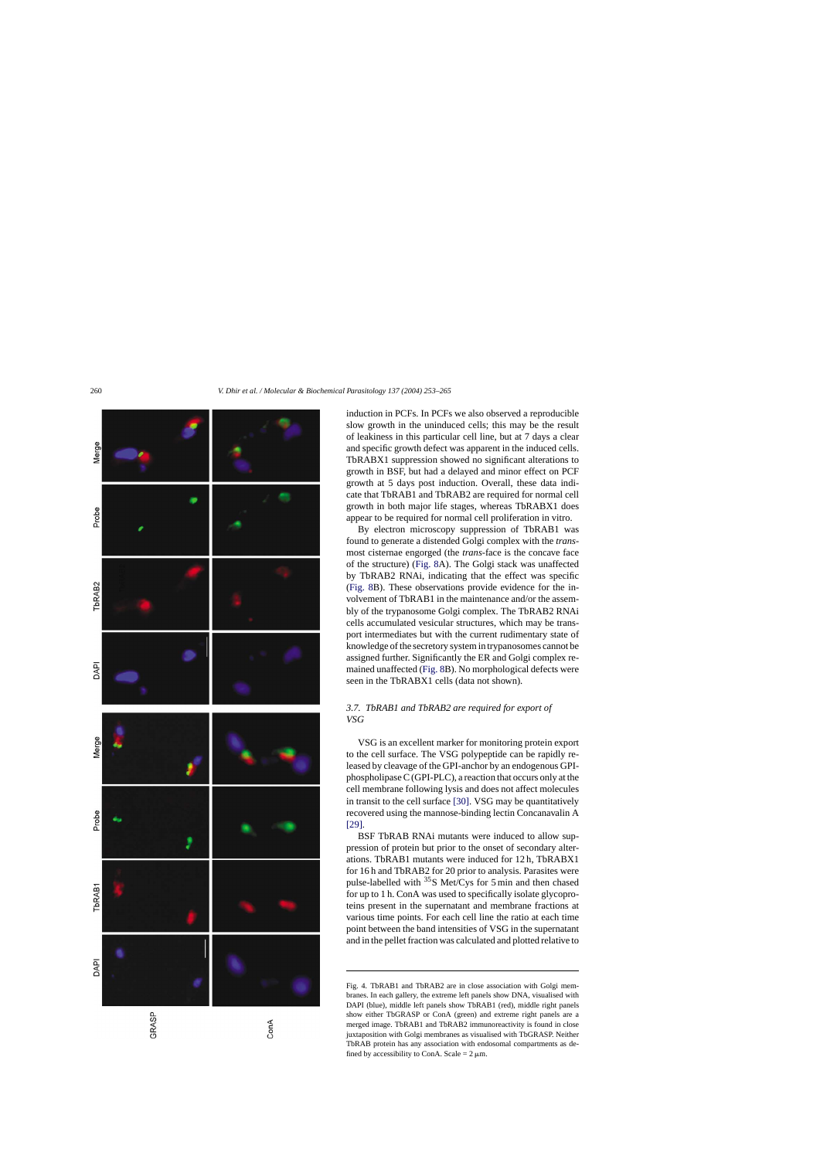<span id="page-7-0"></span>

induction in PCFs. In PCFs we also observed a reproducible slow growth in the uninduced cells; this may be the result of leakiness in this particular cell line, but at 7 days a clear and specific growth defect was apparent in the induced cells. TbRABX1 suppression showed no significant alterations to growth in BSF, but had a delayed and minor effect on PCF growth at 5 days post induction. Overall, these data indicate that TbRAB1 and TbRAB2 are required for normal cell growth in both major life stages, whereas TbRABX1 does appear to be required for normal cell proliferation in vitro.

By electron microscopy suppression of TbRAB1 was found to generate a distended Golgi complex with the *trans*most cisternae engorged (the *trans*-face is the concave face of the structure) ([Fig. 8A](#page-10-0)). The Golgi stack was unaffected by TbRAB2 RNAi, indicating that the effect was specific [\(Fig. 8B](#page-10-0)). These observations provide evidence for the involvement of TbRAB1 in the maintenance and/or the assembly of the trypanosome Golgi complex. The TbRAB2 RNAi cells accumulated vesicular structures, which may be transport intermediates but with the current rudimentary state of knowledge of the secretory system in trypanosomes cannot be assigned further. Significantly the ER and Golgi complex remained unaffected [\(Fig. 8B](#page-10-0)). No morphological defects were seen in the TbRABX1 cells (data not shown).

# *3.7. TbRAB1 and TbRAB2 are required for export of VSG*

VSG is an excellent marker for monitoring protein export to the cell surface. The VSG polypeptide can be rapidly released by cleavage of the GPI-anchor by an endogenous GPIphospholipase C (GPI-PLC), a reaction that occurs only at the cell membrane following lysis and does not affect molecules in transit to the cell surface [\[30\]. V](#page-12-0)SG may be quantitatively recovered using the mannose-binding lectin Concanavalin A [\[29\].](#page-12-0)

BSF TbRAB RNAi mutants were induced to allow suppression of protein but prior to the onset of secondary alterations. TbRAB1 mutants were induced for 12 h, TbRABX1 for 16 h and TbRAB2 for 20 prior to analysis. Parasites were pulse-labelled with  $35S$  Met/Cys for 5 min and then chased for up to 1 h. ConA was used to specifically isolate glycoproteins present in the supernatant and membrane fractions at various time points. For each cell line the ratio at each time point between the band intensities of VSG in the supernatant and in the pellet fraction was calculated and plotted relative to

Fig. 4. TbRAB1 and TbRAB2 are in close association with Golgi membranes. In each gallery, the extreme left panels show DNA, visualised with DAPI (blue), middle left panels show TbRAB1 (red), middle right panels show either TbGRASP or ConA (green) and extreme right panels are a merged image. TbRAB1 and TbRAB2 immunoreactivity is found in close juxtaposition with Golgi membranes as visualised with TbGRASP. Neither TbRAB protein has any association with endosomal compartments as defined by accessibility to ConA. Scale =  $2 \mu m$ .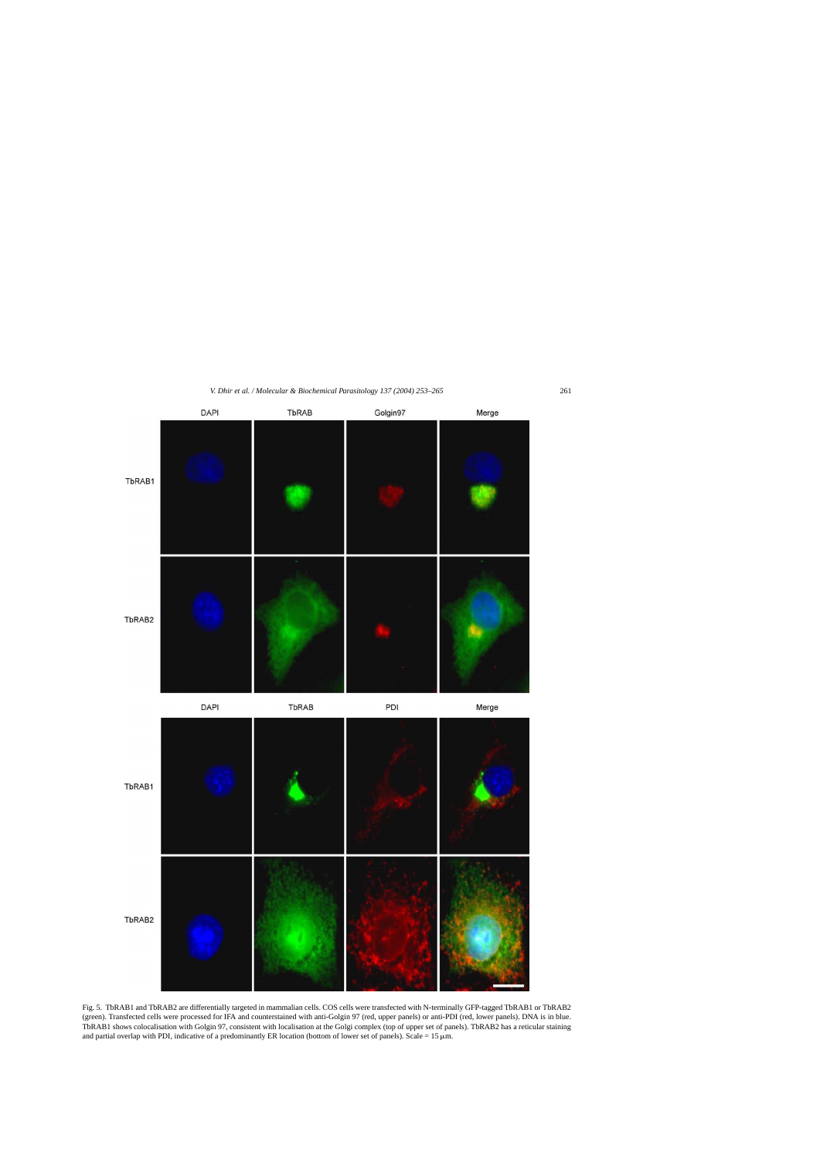<span id="page-8-0"></span>

Fig. 5. TbRAB1 and TbRAB2 are differentially targeted in mammalian cells. COS cells were transfected with N-terminally GFP-tagged TbRAB1 or TbRAB2 (green). Transfected cells were processed for IFA and counterstained with anti-Golgin 97 (red, upper panels) or anti-PDI (red, lower panels). DNA is in blue. TbRAB1 shows colocalisation with Golgin 97, consistent with localisation at the Golgi complex (top of upper set of panels). TbRAB2 has a reticular staining and partial overlap with PDI, indicative of a predominantly ER location (bottom of lower set of panels). Scale =  $15 \mu m$ .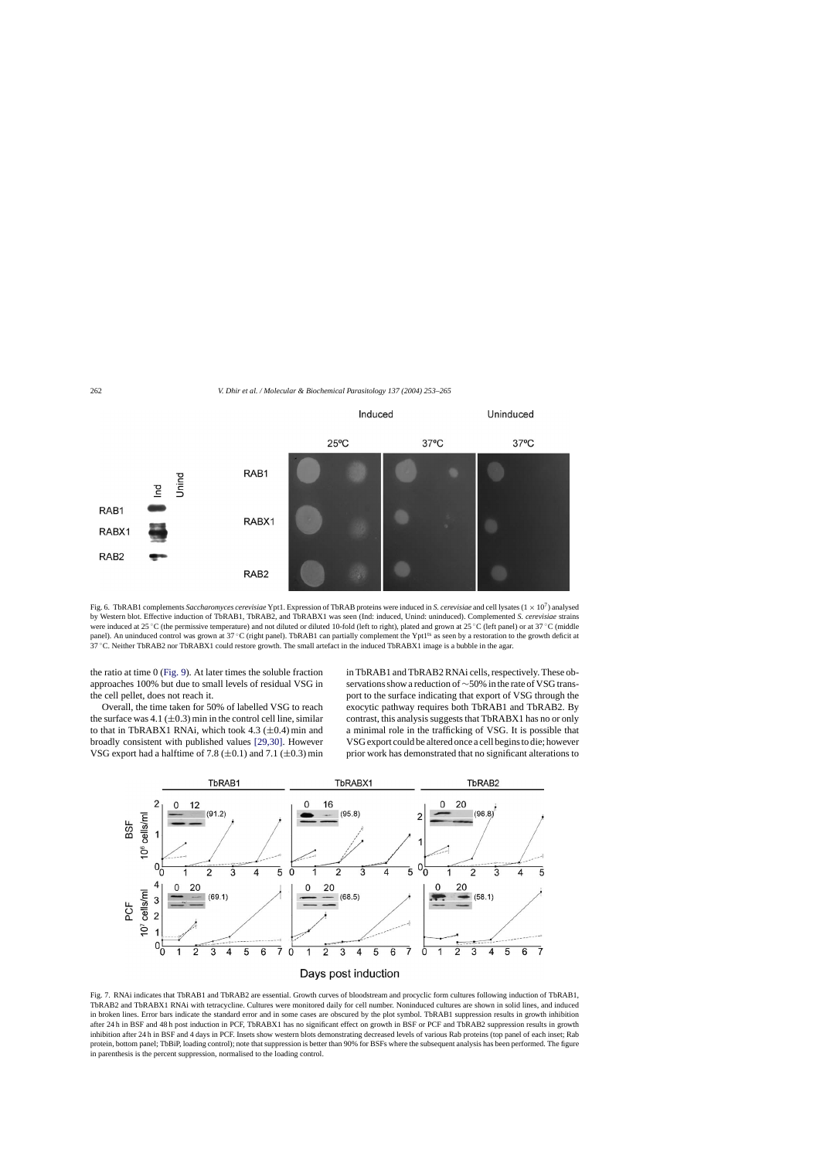<span id="page-9-0"></span>

Fig. 6. TbRAB1 complements *Saccharomyces cerevisiae* Ypt1. Expression of TbRAB proteins were induced in *S. cerevisiae* and cell lysates (1 <sup>×</sup> <sup>10</sup>7) analysed by Western blot. Effective induction of TbRAB1, TbRAB2, and TbRABX1 was seen (Ind: induced, Unind: uninduced). Complemented *S. cerevisiae* strains were induced at 25 °C (the permissive temperature) and not diluted or diluted 10-fold (left to right), plated and grown at 25 °C (left panel) or at 37 °C (middle panel). An uninduced control was grown at 37 °C (right panel). TbRAB1 can partially complement the Ypt1<sup>ts</sup> as seen by a restoration to the growth deficit at 37 ◦C. Neither TbRAB2 nor TbRABX1 could restore growth. The small artefact in the induced TbRABX1 image is a bubble in the agar.

the ratio at time 0 ([Fig. 9\).](#page-10-0) At later times the soluble fraction approaches 100% but due to small levels of residual VSG in the cell pellet, does not reach it.

Overall, the time taken for 50% of labelled VSG to reach the surface was  $4.1 \ (\pm 0.3)$  min in the control cell line, similar to that in TbRABX1 RNAi, which took 4.3  $(\pm 0.4)$  min and broadly consistent with published values [\[29,30\].](#page-12-0) However VSG export had a halftime of 7.8  $(\pm 0.1)$  and 7.1  $(\pm 0.3)$  min in TbRAB1 and TbRAB2 RNAi cells, respectively. These observations show a reduction of∼50% in the rate of VSG transport to the surface indicating that export of VSG through the exocytic pathway requires both TbRAB1 and TbRAB2. By contrast, this analysis suggests that TbRABX1 has no or only a minimal role in the trafficking of VSG. It is possible that VSG export could be altered once a cell begins to die; however prior work has demonstrated that no significant alterations to



Fig. 7. RNAi indicates that TbRAB1 and TbRAB2 are essential. Growth curves of bloodstream and procyclic form cultures following induction of TbRAB1, TbRAB2 and TbRABX1 RNAi with tetracycline. Cultures were monitored daily for cell number. Noninduced cultures are shown in solid lines, and induced in broken lines. Error bars indicate the standard error and in some cases are obscured by the plot symbol. TbRAB1 suppression results in growth inhibition after 24 h in BSF and 48 h post induction in PCF, TbRABX1 has no significant effect on growth in BSF or PCF and TbRAB2 suppression results in growth inhibition after 24 h in BSF and 4 days in PCF. Insets show western blots demonstrating decreased levels of various Rab proteins (top panel of each inset; Rab protein, bottom panel; TbBiP, loading control); note that suppression is better than 90% for BSFs where the subsequent analysis has been performed. The figure in parenthesis is the percent suppression, normalised to the loading control.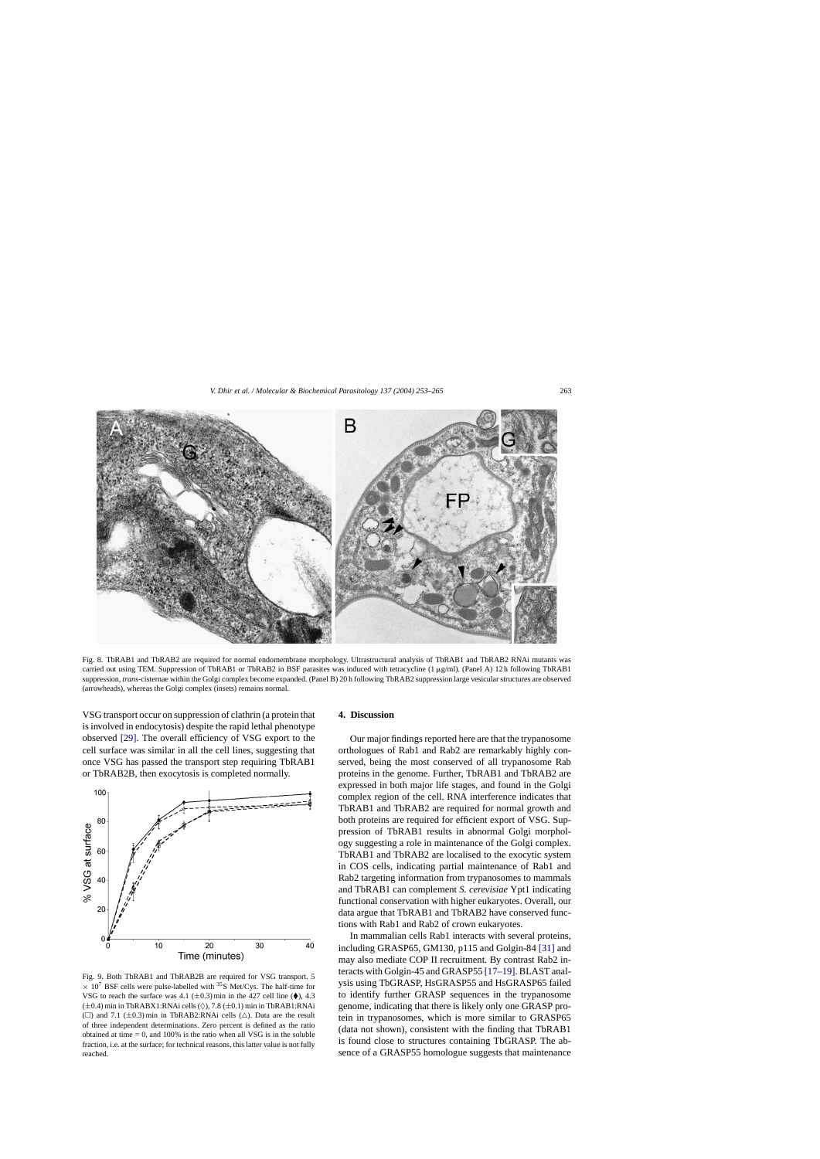<span id="page-10-0"></span>

Fig. 8. TbRAB1 and TbRAB2 are required for normal endomembrane morphology. Ultrastructural analysis of TbRAB1 and TbRAB2 RNAi mutants was carried out using TEM. Suppression of TbRAB1 or TbRAB2 in BSF parasites was induced with tetracycline (1  $\mu$ g/ml). (Panel A) 12 h following TbRAB1 suppression, *trans-*cisternae within the Golgi complex become expanded. (Panel B) 20 h following TbRAB2 suppression large vesicular structures are observed (arrowheads), whereas the Golgi complex (insets) remains normal.

VSG transport occur on suppression of clathrin (a protein that is involved in endocytosis) despite the rapid lethal phenotype observed [\[29\].](#page-12-0) The overall efficiency of VSG export to the cell surface was similar in all the cell lines, suggesting that once VSG has passed the transport step requiring TbRAB1 or TbRAB2B, then exocytosis is completed normally.



Fig. 9. Both TbRAB1 and TbRAB2B are required for VSG transport. 5  $\times$  10<sup>7</sup> BSF cells were pulse-labelled with <sup>35</sup>S Met/Cys. The half-time for VSG to reach the surface was 4.1 ( $\pm$ 0.3) min in the 427 cell line ( $\blacklozenge$ ), 4.3  $(\pm 0.4)$  min in TbRABX1:RNAi cells  $(\Diamond)$ , 7.8  $(\pm 0.1)$  min in TbRAB1:RNAi ( $\Box$ ) and 7.1 ( $\pm$ 0.3) min in TbRAB2:RNAi cells ( $\triangle$ ). Data are the result of three independent determinations. Zero percent is defined as the ratio obtained at time  $= 0$ , and 100% is the ratio when all VSG is in the soluble fraction, i.e. at the surface; for technical reasons, this latter value is not fully reached.

# **4. Discussion**

Our major findings reported here are that the trypanosome orthologues of Rab1 and Rab2 are remarkably highly conserved, being the most conserved of all trypanosome Rab proteins in the genome. Further, TbRAB1 and TbRAB2 are expressed in both major life stages, and found in the Golgi complex region of the cell. RNA interference indicates that TbRAB1 and TbRAB2 are required for normal growth and both proteins are required for efficient export of VSG. Suppression of TbRAB1 results in abnormal Golgi morphology suggesting a role in maintenance of the Golgi complex. TbRAB1 and TbRAB2 are localised to the exocytic system in COS cells, indicating partial maintenance of Rab1 and Rab2 targeting information from trypanosomes to mammals and TbRAB1 can complement *S. cerevisiae* Ypt1 indicating functional conservation with higher eukaryotes. Overall, our data argue that TbRAB1 and TbRAB2 have conserved functions with Rab1 and Rab2 of crown eukaryotes.

In mammalian cells Rab1 interacts with several proteins, including GRASP65, GM130, p115 and Golgin-84 [\[31\]](#page-12-0) and may also mediate COP II recruitment. By contrast Rab2 interacts with Golgin-45 and GRASP55 [\[17–19\]. B](#page-11-0)LAST analysis using TbGRASP, HsGRASP55 and HsGRASP65 failed to identify further GRASP sequences in the trypanosome genome, indicating that there is likely only one GRASP protein in trypanosomes, which is more similar to GRASP65 (data not shown), consistent with the finding that TbRAB1 is found close to structures containing TbGRASP. The absence of a GRASP55 homologue suggests that maintenance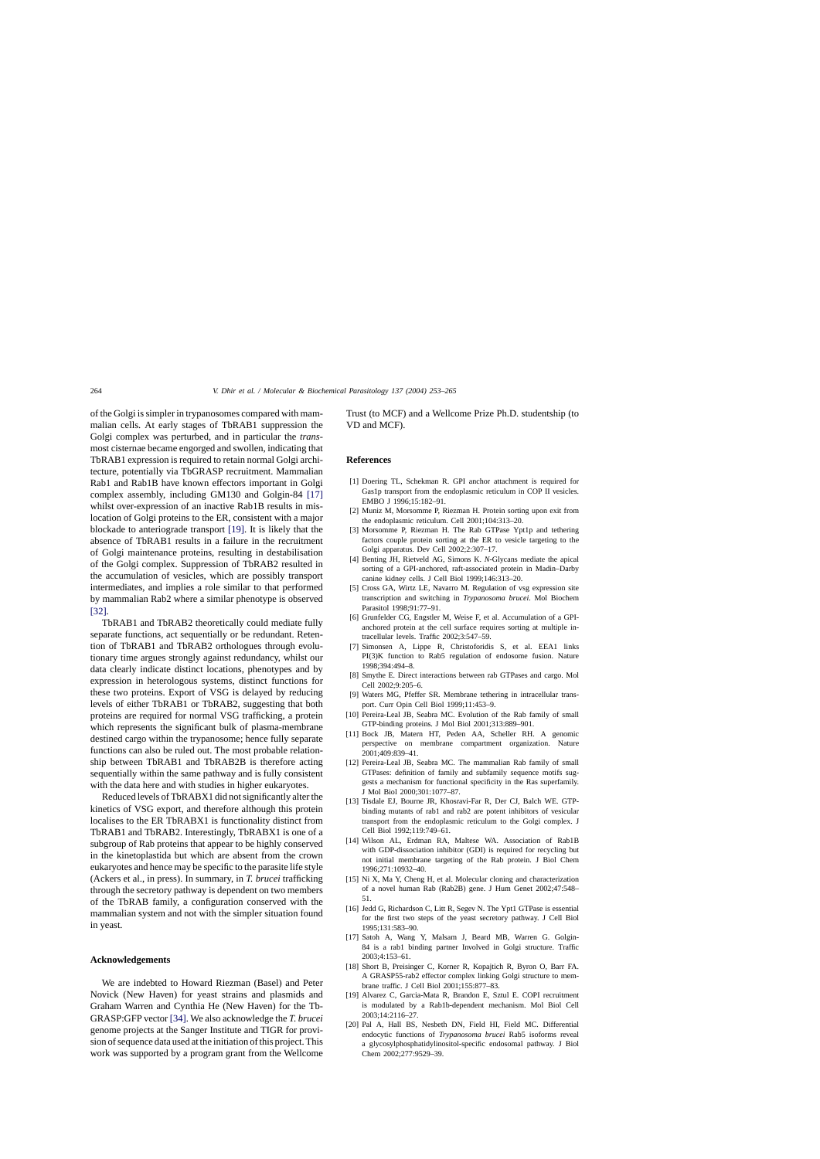<span id="page-11-0"></span>of the Golgi is simpler in trypanosomes compared with mammalian cells. At early stages of TbRAB1 suppression the Golgi complex was perturbed, and in particular the *trans*most cisternae became engorged and swollen, indicating that TbRAB1 expression is required to retain normal Golgi architecture, potentially via TbGRASP recruitment. Mammalian Rab1 and Rab1B have known effectors important in Golgi complex assembly, including GM130 and Golgin-84 [17] whilst over-expression of an inactive Rab1B results in mislocation of Golgi proteins to the ER, consistent with a major blockade to anteriograde transport [19]. It is likely that the absence of TbRAB1 results in a failure in the recruitment of Golgi maintenance proteins, resulting in destabilisation of the Golgi complex. Suppression of TbRAB2 resulted in the accumulation of vesicles, which are possibly transport intermediates, and implies a role similar to that performed by mammalian Rab2 where a similar phenotype is observed [\[32\].](#page-12-0)

TbRAB1 and TbRAB2 theoretically could mediate fully separate functions, act sequentially or be redundant. Retention of TbRAB1 and TbRAB2 orthologues through evolutionary time argues strongly against redundancy, whilst our data clearly indicate distinct locations, phenotypes and by expression in heterologous systems, distinct functions for these two proteins. Export of VSG is delayed by reducing levels of either TbRAB1 or TbRAB2, suggesting that both proteins are required for normal VSG trafficking, a protein which represents the significant bulk of plasma-membrane destined cargo within the trypanosome; hence fully separate functions can also be ruled out. The most probable relationship between TbRAB1 and TbRAB2B is therefore acting sequentially within the same pathway and is fully consistent with the data here and with studies in higher eukaryotes.

Reduced levels of TbRABX1 did not significantly alter the kinetics of VSG export, and therefore although this protein localises to the ER TbRABX1 is functionality distinct from TbRAB1 and TbRAB2. Interestingly, TbRABX1 is one of a subgroup of Rab proteins that appear to be highly conserved in the kinetoplastida but which are absent from the crown eukaryotes and hence may be specific to the parasite life style (Ackers et al., in press). In summary, in *T. brucei* trafficking through the secretory pathway is dependent on two members of the TbRAB family, a configuration conserved with the mammalian system and not with the simpler situation found in yeast.

## **Acknowledgements**

We are indebted to Howard Riezman (Basel) and Peter Novick (New Haven) for yeast strains and plasmids and Graham Warren and Cynthia He (New Haven) for the Tb-GRASP:GFP vector [\[34\]. W](#page-12-0)e also acknowledge the *T. brucei* genome projects at the Sanger Institute and TIGR for provision of sequence data used at the initiation of this project. This work was supported by a program grant from the Wellcome

Trust (to MCF) and a Wellcome Prize Ph.D. studentship (to VD and MCF).

## **References**

- [1] Doering TL, Schekman R. GPI anchor attachment is required for Gas1p transport from the endoplasmic reticulum in COP II vesicles. EMBO J 1996;15:182–91.
- [2] Muniz M, Morsomme P, Riezman H. Protein sorting upon exit from the endoplasmic reticulum. Cell 2001;104:313–20.
- [3] Morsomme P, Riezman H. The Rab GTPase Ypt1p and tethering factors couple protein sorting at the ER to vesicle targeting to the Golgi apparatus. Dev Cell 2002;2:307–17.
- [4] Benting JH, Rietveld AG, Simons K. *N*-Glycans mediate the apical sorting of a GPI-anchored, raft-associated protein in Madin–Darby canine kidney cells. J Cell Biol 1999;146:313–20.
- [5] Cross GA, Wirtz LE, Navarro M. Regulation of vsg expression site transcription and switching in *Trypanosoma brucei*. Mol Biochem Parasitol 1998;91:77–91.
- [6] Grunfelder CG, Engstler M, Weise F, et al. Accumulation of a GPIanchored protein at the cell surface requires sorting at multiple intracellular levels. Traffic 2002;3:547–59.
- [7] Simonsen A, Lippe R, Christoforidis S, et al. EEA1 links PI(3)K function to Rab5 regulation of endosome fusion. Nature 1998;394:494–8.
- [8] Smythe E. Direct interactions between rab GTPases and cargo. Mol Cell 2002;9:205–6.
- [9] Waters MG, Pfeffer SR. Membrane tethering in intracellular transport. Curr Opin Cell Biol 1999;11:453–9.
- [10] Pereira-Leal JB, Seabra MC. Evolution of the Rab family of small GTP-binding proteins. J Mol Biol 2001;313:889–901.
- [11] Bock JB, Matern HT, Peden AA, Scheller RH. A genomic perspective on membrane compartment organization. Nature 2001;409:839–41.
- [12] Pereira-Leal JB, Seabra MC. The mammalian Rab family of small GTPases: definition of family and subfamily sequence motifs suggests a mechanism for functional specificity in the Ras superfamily. J Mol Biol 2000;301:1077–87.
- [13] Tisdale EJ, Bourne JR, Khosravi-Far R, Der CJ, Balch WE. GTPbinding mutants of rab1 and rab2 are potent inhibitors of vesicular transport from the endoplasmic reticulum to the Golgi complex. J Cell Biol 1992;119:749–61.
- [14] Wilson AL, Erdman RA, Maltese WA. Association of Rab1B with GDP-dissociation inhibitor (GDI) is required for recycling but not initial membrane targeting of the Rab protein. J Biol Chem 1996;271:10932–40.
- [15] Ni X, Ma Y, Cheng H, et al. Molecular cloning and characterization of a novel human Rab (Rab2B) gene. J Hum Genet 2002;47:548– 51.
- [16] Jedd G, Richardson C, Litt R, Segev N. The Ypt1 GTPase is essential for the first two steps of the yeast secretory pathway. J Cell Biol 1995;131:583–90.
- [17] Satoh A, Wang Y, Malsam J, Beard MB, Warren G. Golgin-84 is a rab1 binding partner Involved in Golgi structure. Traffic 2003;4:153–61.
- [18] Short B, Preisinger C, Korner R, Kopajtich R, Byron O, Barr FA. A GRASP55-rab2 effector complex linking Golgi structure to membrane traffic. J Cell Biol 2001;155:877–83.
- [19] Alvarez C, Garcia-Mata R, Brandon E, Sztul E. COPI recruitment is modulated by a Rab1b-dependent mechanism. Mol Biol Cell 2003;14:2116–27.
- [20] Pal A, Hall BS, Nesbeth DN, Field HI, Field MC. Differential endocytic functions of *Trypanosoma brucei* Rab5 isoforms reveal a glycosylphosphatidylinositol-specific endosomal pathway. J Biol Chem 2002;277:9529–39.